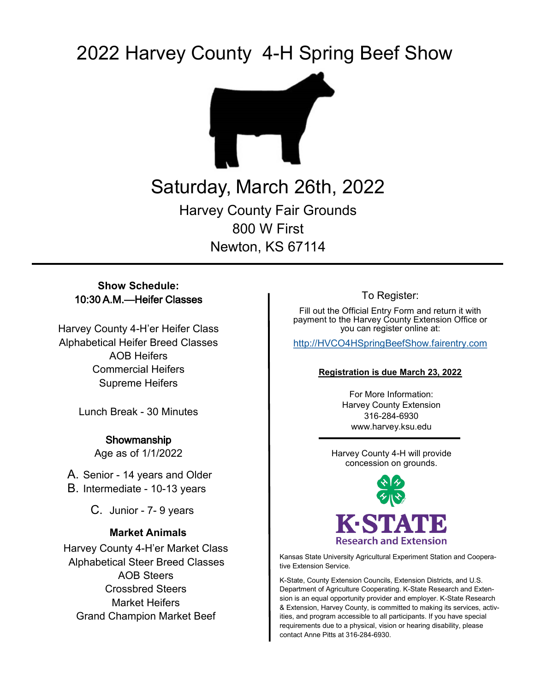# 2022 Harvey County 4-H Spring Beef Show



## Saturday, March 26th, 2022 Harvey County Fair Grounds 800 W First Newton, KS 67114

#### **Show Schedule:** 10:30 A.M.—Heifer Classes

Harvey County 4-H'er Heifer Class Alphabetical Heifer Breed Classes AOB Heifers Commercial Heifers Supreme Heifers

Lunch Break - 30 Minutes

Showmanship Age as of 1/1/2022

A. Senior - 14 years and Older B. Intermediate - 10-13 years

C. Junior - 7- 9 years

#### **Market Animals**

Harvey County 4-H'er Market Class Alphabetical Steer Breed Classes AOB Steers Crossbred Steers Market Heifers Grand Champion Market Beef

To Register:

Fill out the Official Entry Form and return it with payment to the Harvey County Extension Office or you can register online at:

[http://HVCO4HSpringBeefShow.fairentry.com](http://hvco4hspringbeefshow.fairentry.com/)

#### **Registration is due March 23, 2022**

For More Information: Harvey County Extension 316-284-6930 www.harvey.ksu.edu

Harvey County 4-H will provide concession on grounds.



Kansas State University Agricultural Experiment Station and Cooperative Extension Service.

K-State, County Extension Councils, Extension Districts, and U.S. Department of Agriculture Cooperating. K-State Research and Extension is an equal opportunity provider and employer. K-State Research & Extension, Harvey County, is committed to making its services, activities, and program accessible to all participants. If you have special requirements due to a physical, vision or hearing disability, please contact Anne Pitts at 316-284-6930.